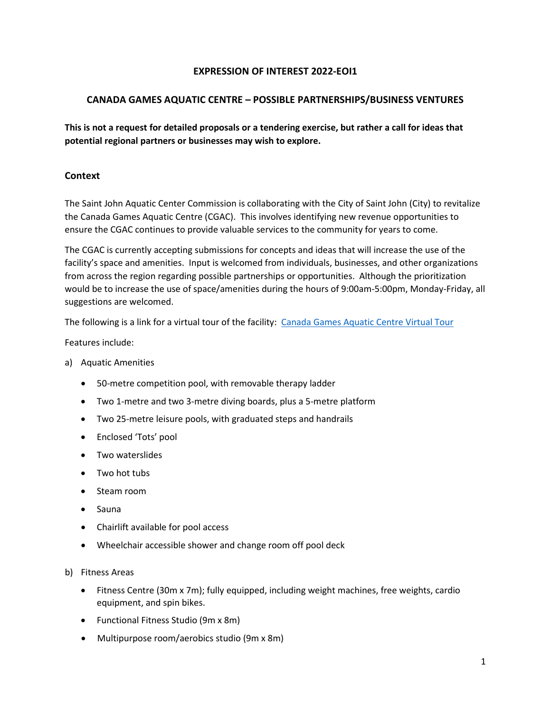### **EXPRESSION OF INTEREST 2022-EOI1**

### **CANADA GAMES AQUATIC CENTRE – POSSIBLE PARTNERSHIPS/BUSINESS VENTURES**

**This is not a request for detailed proposals or a tendering exercise, but rather a call for ideas that potential regional partners or businesses may wish to explore.** 

## **Context**

The Saint John Aquatic Center Commission is collaborating with the City of Saint John (City) to revitalize the Canada Games Aquatic Centre (CGAC). This involves identifying new revenue opportunities to ensure the CGAC continues to provide valuable services to the community for years to come.

The CGAC is currently accepting submissions for concepts and ideas that will increase the use of the facility's space and amenities. Input is welcomed from individuals, businesses, and other organizations from across the region regarding possible partnerships or opportunities. Although the prioritization would be to increase the use of space/amenities during the hours of 9:00am-5:00pm, Monday-Friday, all suggestions are welcomed.

The following is a link for a virtual tour of the facility: [Canada Games Aquatic Centre Virtual Tour](https://my.matterport.com/show/?m=iFN6fYEUDtZ) 

Features include:

- a) Aquatic Amenities
	- 50-metre competition pool, with removable therapy ladder
	- Two 1-metre and two 3-metre diving boards, plus a 5-metre platform
	- Two 25-metre leisure pools, with graduated steps and handrails
	- Enclosed 'Tots' pool
	- Two waterslides
	- Two hot tubs
	- Steam room
	- Sauna
	- Chairlift available for pool access
	- Wheelchair accessible shower and change room off pool deck
- b) Fitness Areas
	- Fitness Centre (30m x 7m); fully equipped, including weight machines, free weights, cardio equipment, and spin bikes.
	- Functional Fitness Studio (9m x 8m)
	- Multipurpose room/aerobics studio (9m x 8m)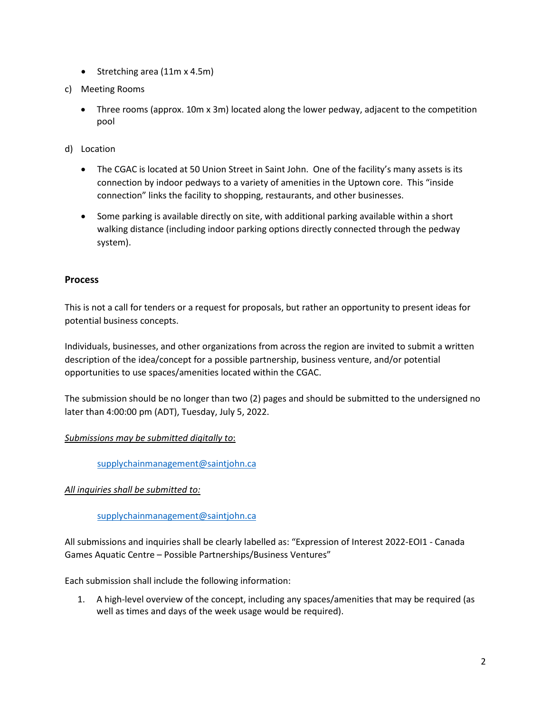- Stretching area (11m x 4.5m)
- c) Meeting Rooms
	- Three rooms (approx. 10m x 3m) located along the lower pedway, adjacent to the competition pool
- d) Location
	- The CGAC is located at 50 Union Street in Saint John. One of the facility's many assets is its connection by indoor pedways to a variety of amenities in the Uptown core. This "inside connection" links the facility to shopping, restaurants, and other businesses.
	- Some parking is available directly on site, with additional parking available within a short walking distance (including indoor parking options directly connected through the pedway system).

## **Process**

This is not a call for tenders or a request for proposals, but rather an opportunity to present ideas for potential business concepts.

Individuals, businesses, and other organizations from across the region are invited to submit a written description of the idea/concept for a possible partnership, business venture, and/or potential opportunities to use spaces/amenities located within the CGAC.

The submission should be no longer than two (2) pages and should be submitted to the undersigned no later than 4:00:00 pm (ADT), Tuesday, July 5, 2022.

# *Submissions may be submitted digitally to*:

[supplychainmanagement@saintjohn.ca](mailto:supplychainmanagement@saintjohn.ca)

*All inquiries shall be submitted to:*

#### [supplychainmanagement@saintjohn.ca](mailto:supplychainmanagement@saintjohn.ca)

All submissions and inquiries shall be clearly labelled as: "Expression of Interest 2022-EOI1 - Canada Games Aquatic Centre – Possible Partnerships/Business Ventures"

Each submission shall include the following information:

1. A high-level overview of the concept, including any spaces/amenities that may be required (as well as times and days of the week usage would be required).